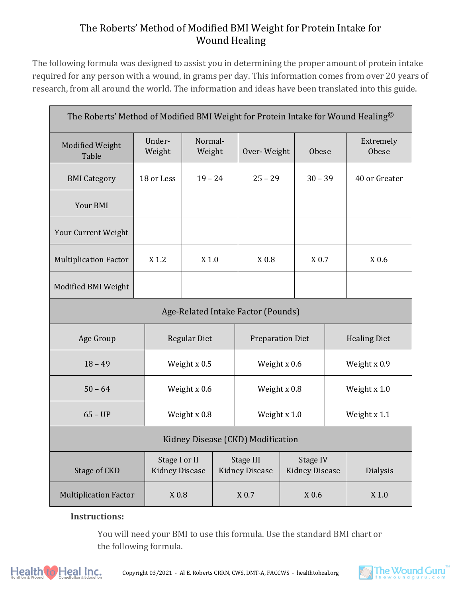## The Roberts' Method of Modified BMI Weight for Protein Intake for Wound Healing

The following formula was designed to assist you in determining the proper amount of protein intake required for any person with a wound, in grams per day. This information comes from over 20 years of research, from all around the world. The information and ideas have been translated into this guide.

| The Roberts' Method of Modified BMI Weight for Protein Intake for Wound Healing <sup>©</sup> |                     |                                        |  |                                    |  |                                   |                     |                 |  |  |
|----------------------------------------------------------------------------------------------|---------------------|----------------------------------------|--|------------------------------------|--|-----------------------------------|---------------------|-----------------|--|--|
| <b>Modified Weight</b><br>Table                                                              | Under-<br>Weight    | Normal-<br>Weight                      |  | Over-Weight<br><b>Obese</b>        |  |                                   | Extremely<br>Obese  |                 |  |  |
| <b>BMI</b> Category                                                                          | 18 or Less          | $19 - 24$                              |  | $25 - 29$                          |  | $30 - 39$                         |                     | 40 or Greater   |  |  |
| Your BMI                                                                                     |                     |                                        |  |                                    |  |                                   |                     |                 |  |  |
| Your Current Weight                                                                          |                     |                                        |  |                                    |  |                                   |                     |                 |  |  |
| <b>Multiplication Factor</b>                                                                 | X 1.2               | $X$ 1.0                                |  | $X$ 0.8                            |  | X 0.7                             |                     | X 0.6           |  |  |
| Modified BMI Weight                                                                          |                     |                                        |  |                                    |  |                                   |                     |                 |  |  |
| Age-Related Intake Factor (Pounds)                                                           |                     |                                        |  |                                    |  |                                   |                     |                 |  |  |
| Age Group                                                                                    | <b>Regular Diet</b> |                                        |  | <b>Preparation Diet</b>            |  |                                   | <b>Healing Diet</b> |                 |  |  |
| $18 - 49$                                                                                    |                     | Weight x 0.5                           |  | Weight x 0.6                       |  | Weight x 0.9                      |                     |                 |  |  |
| $50 - 64$                                                                                    |                     | Weight $x$ 0.6                         |  | Weight $x$ 0.8                     |  | Weight $x 1.0$                    |                     |                 |  |  |
| $65 - UP$                                                                                    |                     | Weight x 0.8                           |  | Weight x 1.0                       |  |                                   | Weight x 1.1        |                 |  |  |
| Kidney Disease (CKD) Modification                                                            |                     |                                        |  |                                    |  |                                   |                     |                 |  |  |
| Stage of CKD                                                                                 |                     | Stage I or II<br><b>Kidney Disease</b> |  | Stage III<br><b>Kidney Disease</b> |  | Stage IV<br><b>Kidney Disease</b> |                     | <b>Dialysis</b> |  |  |
| <b>Multiplication Factor</b>                                                                 |                     | X 0.8                                  |  | $X$ 0.7                            |  | $X$ 0.6                           |                     | $X$ 1.0         |  |  |

## **Instructions:**

You will need your BMI to use this formula. Use the standard BMI chart or the following formula.